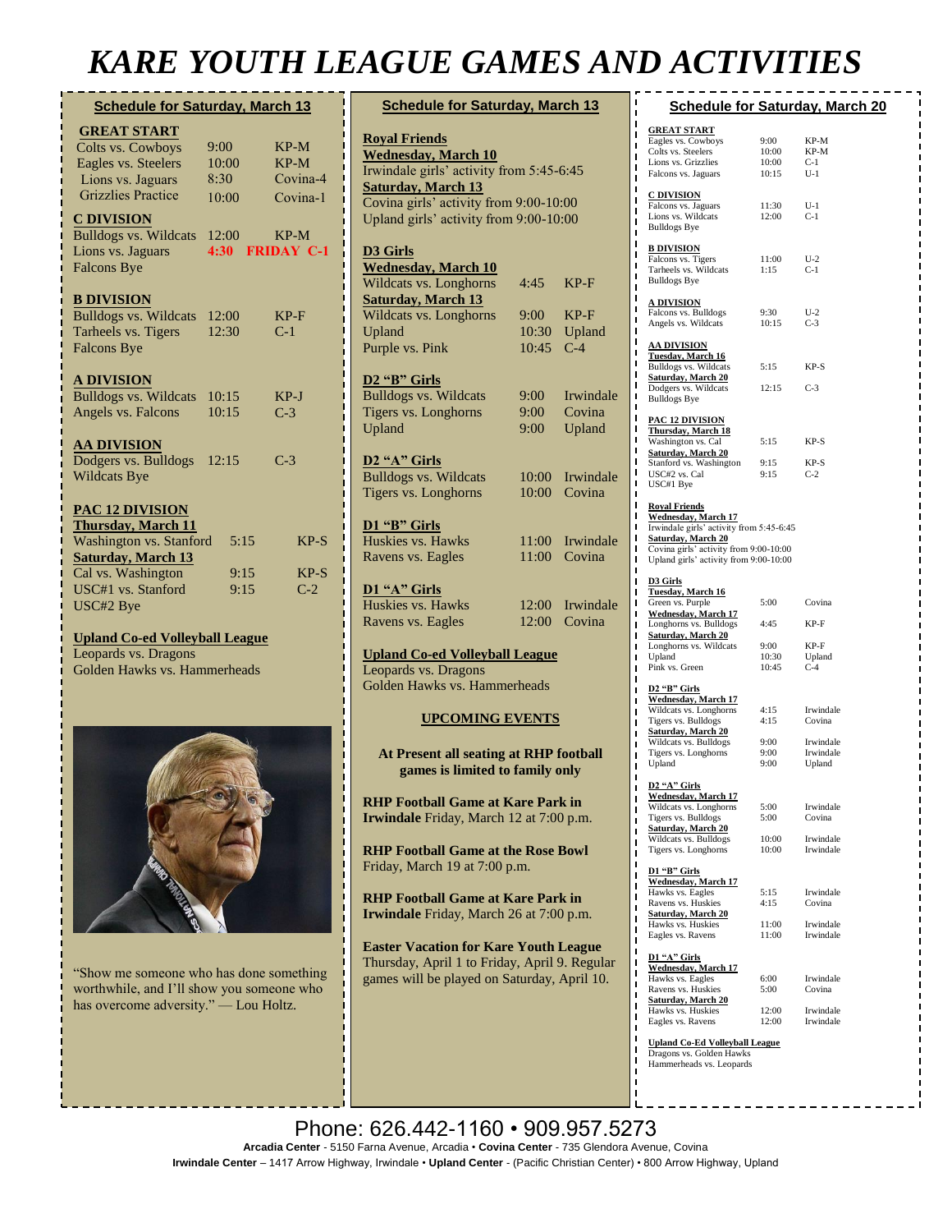## *KARE YOUTH LEAGUE GAMES AND ACTIVITIES*

| <b>Schedule for Saturday, March 13</b> |       |                   |
|----------------------------------------|-------|-------------------|
| <b>GREAT START</b>                     |       |                   |
| Colts vs. Cowboys                      | 9:00  | $KP-M$            |
| Eagles vs. Steelers                    | 10:00 | $KP-M$            |
| Lions vs. Jaguars                      | 8:30  | Covina-4          |
| <b>Grizzlies Practice</b>              | 10:00 | Covina-1          |
| <b>C DIVISION</b>                      |       |                   |
| <b>Bulldogs vs. Wildcats</b>           | 12:00 | $KP-M$            |
| Lions vs. Jaguars                      | 4:30  | <b>FRIDAY C-1</b> |
| <b>Falcons Bye</b>                     |       |                   |
| <b>B DIVISION</b>                      |       |                   |
| <b>Bulldogs vs. Wildcats</b>           | 12:00 | $KP-F$            |
| Tarheels vs. Tigers                    | 12:30 | $C-1$             |
| <b>Falcons Bye</b>                     |       |                   |
| <b>A DIVISION</b>                      |       |                   |
| <b>Bulldogs vs. Wildcats</b>           | 10:15 | $KP-J$            |
| Angels vs. Falcons                     | 10:15 | $C-3$             |
| <b>AA DIVISION</b>                     |       |                   |
| Dodgers vs. Bulldogs                   | 12:15 | $C-3$             |
| <b>Wildcats Bye</b>                    |       |                   |
| <b>PAC 12 DIVISION</b>                 |       |                   |
| <b>Thursday</b> , March 11             |       |                   |
| Washington vs. Stanford                | 5:15  | $KP-S$            |
| <b>Saturday, March 13</b>              |       |                   |
| Cal vs. Washington                     | 9:15  | $KP-S$            |
| USC#1 vs. Stanford                     | 9:15  | $C-2$             |
| USC#2 Bye                              |       |                   |

**Upland Co-ed Volleyball League** Leopards vs. Dragons Golden Hawks vs. Hammerheads



"Show me someone who has done something worthwhile, and I'll show you someone who has overcome adversity." — Lou Holtz.

| <b>Schedule for Saturday, March 13</b>                                                                                                                                                                          |       |           |  |  |  |
|-----------------------------------------------------------------------------------------------------------------------------------------------------------------------------------------------------------------|-------|-----------|--|--|--|
| <b>Royal Friends</b><br><b>Wednesday, March 10</b><br>Irwindale girls' activity from 5:45-6:45<br><b>Saturday, March 13</b><br>Covina girls' activity from 9:00-10:00<br>Upland girls' activity from 9:00-10:00 |       |           |  |  |  |
| <b>D3</b> Girls                                                                                                                                                                                                 |       |           |  |  |  |
| <b>Wednesday</b> , March 10                                                                                                                                                                                     |       |           |  |  |  |
| Wildcats vs. Longhorns                                                                                                                                                                                          | 4:45  | $KP-F$    |  |  |  |
| <b>Saturday, March 13</b>                                                                                                                                                                                       |       |           |  |  |  |
| Wildcats vs. Longhorns                                                                                                                                                                                          | 9:00  | $KP-F$    |  |  |  |
| Upland                                                                                                                                                                                                          | 10:30 | Upland    |  |  |  |
| Purple vs. Pink                                                                                                                                                                                                 | 10:45 | $C-4$     |  |  |  |
| D <sub>2</sub> "B" Girls                                                                                                                                                                                        |       |           |  |  |  |
| <b>Bulldogs vs. Wildcats</b>                                                                                                                                                                                    | 9:00  | Irwindale |  |  |  |
| Tigers vs. Longhorns                                                                                                                                                                                            | 9:00  | Covina    |  |  |  |
| Upland                                                                                                                                                                                                          | 9:00  | Upland    |  |  |  |
| D2 "A" Girls                                                                                                                                                                                                    |       |           |  |  |  |
| <b>Bulldogs vs. Wildcats</b>                                                                                                                                                                                    | 10:00 | Irwindale |  |  |  |
| Tigers vs. Longhorns                                                                                                                                                                                            | 10:00 | Covina    |  |  |  |
|                                                                                                                                                                                                                 |       |           |  |  |  |
| D1 "B" Girls                                                                                                                                                                                                    |       |           |  |  |  |
| Huskies vs. Hawks                                                                                                                                                                                               | 11:00 | Irwindale |  |  |  |
| Ravens vs. Eagles                                                                                                                                                                                               | 11:00 | Covina    |  |  |  |
| D1 "A" Girls                                                                                                                                                                                                    |       |           |  |  |  |
| Huskies vs. Hawks                                                                                                                                                                                               | 12:00 | Irwindale |  |  |  |
| Ravens vs. Eagles                                                                                                                                                                                               | 12:00 | Covina    |  |  |  |
| <b>Upland Co-ed Volleyball League</b><br>Leopards vs. Dragons<br>Golden Hawks vs. Hammerheads                                                                                                                   |       |           |  |  |  |
| <b>UPCOMING EVENTS</b>                                                                                                                                                                                          |       |           |  |  |  |
| At Present all seating at RHP football<br>games is limited to family only                                                                                                                                       |       |           |  |  |  |
| <b>RHP Football Game at Kare Park in</b><br>Irwindale Friday, March 12 at 7:00 p.m.                                                                                                                             |       |           |  |  |  |
| <b>RHP Football Game at the Rose Bowl</b><br>Friday, March 19 at 7:00 p.m.                                                                                                                                      |       |           |  |  |  |

**RHP Football Game at Kare Park in Irwindale** Friday, March 26 at 7:00 p.m.

**Easter Vacation for Kare Youth League**  Thursday, April 1 to Friday, April 9. Regular games will be played on Saturday, April 10.

|                                                                                                                                                                                                                  |                                                                                                                                                                                                  |                                        | <b>Schedule for Saturday, March 20</b>                  |  |  |
|------------------------------------------------------------------------------------------------------------------------------------------------------------------------------------------------------------------|--------------------------------------------------------------------------------------------------------------------------------------------------------------------------------------------------|----------------------------------------|---------------------------------------------------------|--|--|
|                                                                                                                                                                                                                  | <u>GREAT START</u><br>Eagles vs. Cowboys<br>Colts vs. Steelers<br>Lions vs. Grizzlies<br>Falcons vs. Jaguars                                                                                     | 9:00<br>10:00<br>10:00<br>10:15        | KP-M<br>KP-M<br>$C-1$<br>$U-1$                          |  |  |
|                                                                                                                                                                                                                  | <u>C DIVISION</u><br>Falcons vs. Jaguars<br>Lions vs. Wildcats<br><b>Bulldogs Bye</b>                                                                                                            | 11:30<br>12:00                         | $U-1$<br>$C-1$                                          |  |  |
|                                                                                                                                                                                                                  | <u>B DIVISION</u><br>Falcons vs. Tigers<br>Tarheels vs. Wildcats<br>Bulldogs Bye                                                                                                                 | 11:00<br>1:15                          | $U-2$<br>$C-1$                                          |  |  |
|                                                                                                                                                                                                                  | <u>A DIVISION</u><br>Falcons vs. Bulldogs<br>Angels vs. Wildcats                                                                                                                                 | 9:30<br>10:15                          | $U-2$<br>$C-3$                                          |  |  |
|                                                                                                                                                                                                                  | <u>AA DIVISION</u><br><u>Tuesday, March 16</u><br>Bulldogs vs. Wildcats<br><b>Saturday, March 20</b><br>Dodgers vs. Wildcats<br>Bulldogs Bye                                                     | 5:15<br>12:15                          | KP-S<br>$C-3$                                           |  |  |
|                                                                                                                                                                                                                  | <u>PAC 12 DIVISION</u><br><b>Thursday, March 18</b><br>Washington vs. Cal<br><b>Saturday, March 20</b><br>Stanford vs. Washington<br>USC#2 vs. Cal<br>USC#1 Bye                                  | 5:15<br>9:15<br>9:15                   | KP-S<br>$KP-S$<br>$C-2$                                 |  |  |
| <b>Royal Friends</b><br><b>Wednesday</b> , March 17<br>Irwindale girls' activity from 5:45-6:45<br><b>Saturday, March 20</b><br>Covina girls' activity from 9:00-10:00<br>Upland girls' activity from 9:00-10:00 |                                                                                                                                                                                                  |                                        |                                                         |  |  |
| Upland                                                                                                                                                                                                           | <u>D3 Girls</u><br><b>Tuesday, March 16</b><br>Green vs. Purple<br><b>Wednesday, March 17</b><br>Longhorns vs. Bulldogs<br><b>Saturday, March 20</b><br>Longhorns vs. Wildcats<br>Pink vs. Green | 5:00<br>4:45<br>9:00<br>10:30<br>10:45 | Covina<br>KP-F<br>KP-F<br>Upland<br>$C-4$               |  |  |
| Upland                                                                                                                                                                                                           | D2 "B" Girls<br><b>Wednesday, March 17</b><br>Wildcats vs. Longhorns<br>Tigers vs. Bulldogs<br><b>Saturday, March 20</b><br>Wildcats vs. Bulldogs<br>Tigers vs. Longhorns                        | 4:15<br>4:15<br>9:00<br>9:00<br>9:00   | Irwindale<br>Covina<br>Irwindale<br>Irwindale<br>Upland |  |  |
|                                                                                                                                                                                                                  | D2 "A" Girls<br>Aarch 17<br>Wednesdav. N<br>Wildcats vs. Longhorns<br>Tigers vs. Bulldogs<br><b>Saturday, March 20</b><br>Wildcats vs. Bulldogs<br>Tigers vs. Longhorns                          | 5:00<br>5:00<br>10:00<br>10:00         | Irwindale<br>Covina<br>Irwindale<br>Irwindale           |  |  |
|                                                                                                                                                                                                                  | D1 "B" Girls<br><b>Wednesday, March 17</b><br>Hawks vs. Eagles<br>Ravens vs. Huskies<br><b>Saturday, March 20</b><br>Hawks vs. Huskies<br>Eagles vs. Ravens                                      | 5:15<br>4:15<br>11:00<br>11:00         | Irwindale<br>Covina<br>Irwindale<br>Irwindale           |  |  |
|                                                                                                                                                                                                                  | D1 "A" Girls<br><b>Wednesday, March 17</b><br>Hawks vs. Eagles<br>Ravens vs. Huskies<br><b>Saturday, March 20</b><br>Hawks vs. Huskies<br>Eagles vs. Ravens                                      | 6:00<br>5:00<br>12:00<br>12:00         | Irwindale<br>Covina<br>Irwindale<br>Irwindale           |  |  |
|                                                                                                                                                                                                                  |                                                                                                                                                                                                  |                                        |                                                         |  |  |

**Upland Co-Ed Volleyball League** Dragons vs. Golden Hawks Hammerheads vs. Leopards